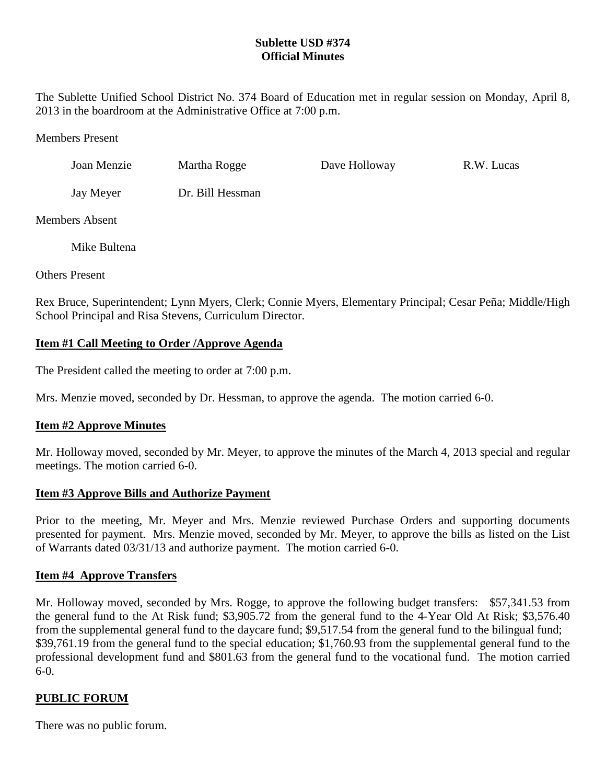## **Sublette USD #374 Official Minutes**

The Sublette Unified School District No. 374 Board of Education met in regular session on Monday, April 8, 2013 in the boardroom at the Administrative Office at 7:00 p.m.

### Members Present

| Joan Menzie | Martha Rogge     | Dave Holloway | R.W. Lucas |
|-------------|------------------|---------------|------------|
| Jay Meyer   | Dr. Bill Hessman |               |            |

Members Absent

Mike Bultena

Others Present

Rex Bruce, Superintendent; Lynn Myers, Clerk; Connie Myers, Elementary Principal; Cesar Peña; Middle/High School Principal and Risa Stevens, Curriculum Director.

## **Item #1 Call Meeting to Order /Approve Agenda**

The President called the meeting to order at 7:00 p.m.

Mrs. Menzie moved, seconded by Dr. Hessman, to approve the agenda. The motion carried 6-0.

# **Item #2 Approve Minutes**

Mr. Holloway moved, seconded by Mr. Meyer, to approve the minutes of the March 4, 2013 special and regular meetings. The motion carried 6-0.

## **Item #3 Approve Bills and Authorize Payment**

Prior to the meeting, Mr. Meyer and Mrs. Menzie reviewed Purchase Orders and supporting documents presented for payment. Mrs. Menzie moved, seconded by Mr. Meyer, to approve the bills as listed on the List of Warrants dated 03/31/13 and authorize payment. The motion carried 6-0.

## **Item #4 Approve Transfers**

Mr. Holloway moved, seconded by Mrs. Rogge, to approve the following budget transfers: \$57,341.53 from the general fund to the At Risk fund; \$3,905.72 from the general fund to the 4-Year Old At Risk; \$3,576.40 from the supplemental general fund to the daycare fund; \$9,517.54 from the general fund to the bilingual fund; \$39,761.19 from the general fund to the special education; \$1,760.93 from the supplemental general fund to the professional development fund and \$801.63 from the general fund to the vocational fund. The motion carried 6-0.

## **PUBLIC FORUM**

There was no public forum.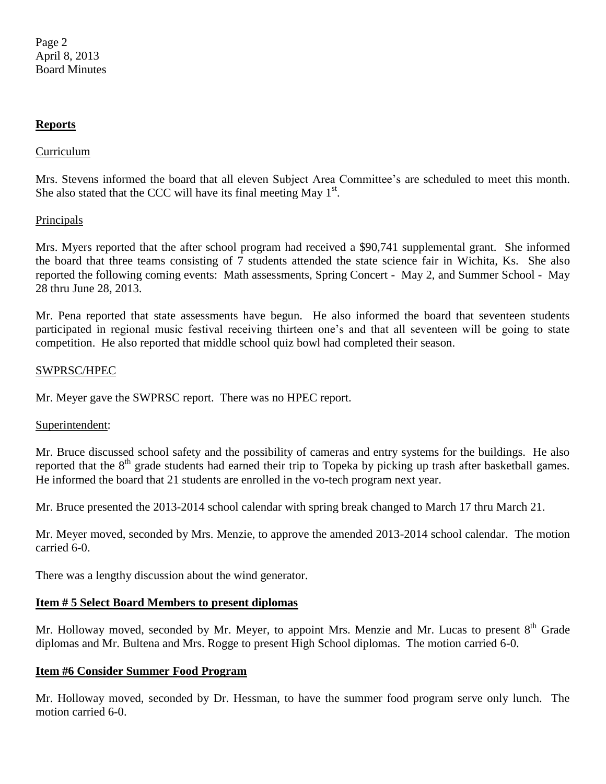### **Reports**

### Curriculum

Mrs. Stevens informed the board that all eleven Subject Area Committee's are scheduled to meet this month. She also stated that the CCC will have its final meeting May  $1<sup>st</sup>$ .

### **Principals**

Mrs. Myers reported that the after school program had received a \$90,741 supplemental grant. She informed the board that three teams consisting of 7 students attended the state science fair in Wichita, Ks. She also reported the following coming events: Math assessments, Spring Concert - May 2, and Summer School - May 28 thru June 28, 2013.

Mr. Pena reported that state assessments have begun. He also informed the board that seventeen students participated in regional music festival receiving thirteen one's and that all seventeen will be going to state competition. He also reported that middle school quiz bowl had completed their season.

### SWPRSC/HPEC

Mr. Meyer gave the SWPRSC report. There was no HPEC report.

### Superintendent:

Mr. Bruce discussed school safety and the possibility of cameras and entry systems for the buildings. He also reported that the  $8<sup>th</sup>$  grade students had earned their trip to Topeka by picking up trash after basketball games. He informed the board that 21 students are enrolled in the vo-tech program next year.

Mr. Bruce presented the 2013-2014 school calendar with spring break changed to March 17 thru March 21.

Mr. Meyer moved, seconded by Mrs. Menzie, to approve the amended 2013-2014 school calendar. The motion carried 6-0.

There was a lengthy discussion about the wind generator.

## **Item # 5 Select Board Members to present diplomas**

Mr. Holloway moved, seconded by Mr. Meyer, to appoint Mrs. Menzie and Mr. Lucas to present 8<sup>th</sup> Grade diplomas and Mr. Bultena and Mrs. Rogge to present High School diplomas. The motion carried 6-0.

### **Item #6 Consider Summer Food Program**

Mr. Holloway moved, seconded by Dr. Hessman, to have the summer food program serve only lunch. The motion carried 6-0.